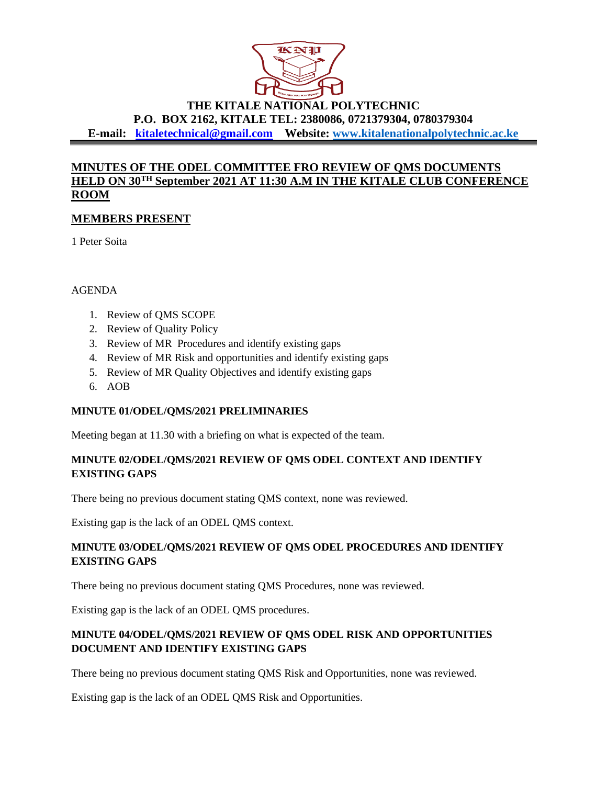

### **MINUTES OF THE ODEL COMMITTEE FRO REVIEW OF QMS DOCUMENTS HELD ON 30TH September 2021 AT 11:30 A.M IN THE KITALE CLUB CONFERENCE ROOM**

## **MEMBERS PRESENT**

1 Peter Soita

#### AGENDA

- 1. Review of QMS SCOPE
- 2. Review of Quality Policy
- 3. Review of MR Procedures and identify existing gaps
- 4. Review of MR Risk and opportunities and identify existing gaps
- 5. Review of MR Quality Objectives and identify existing gaps
- 6. AOB

#### **MINUTE 01/ODEL/QMS/2021 PRELIMINARIES**

Meeting began at 11.30 with a briefing on what is expected of the team.

## **MINUTE 02/ODEL/QMS/2021 REVIEW OF QMS ODEL CONTEXT AND IDENTIFY EXISTING GAPS**

There being no previous document stating QMS context, none was reviewed.

Existing gap is the lack of an ODEL QMS context.

#### **MINUTE 03/ODEL/QMS/2021 REVIEW OF QMS ODEL PROCEDURES AND IDENTIFY EXISTING GAPS**

There being no previous document stating QMS Procedures, none was reviewed.

Existing gap is the lack of an ODEL QMS procedures.

## **MINUTE 04/ODEL/QMS/2021 REVIEW OF QMS ODEL RISK AND OPPORTUNITIES DOCUMENT AND IDENTIFY EXISTING GAPS**

There being no previous document stating QMS Risk and Opportunities, none was reviewed.

Existing gap is the lack of an ODEL QMS Risk and Opportunities.